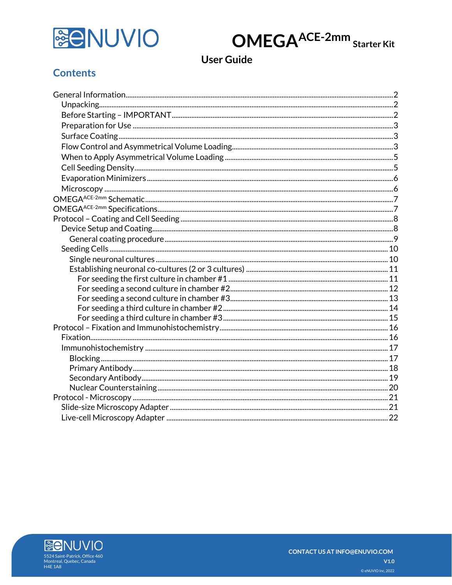

**OMEGAACE-2mm** Starter Kit

# **User Guide**

## **Contents**

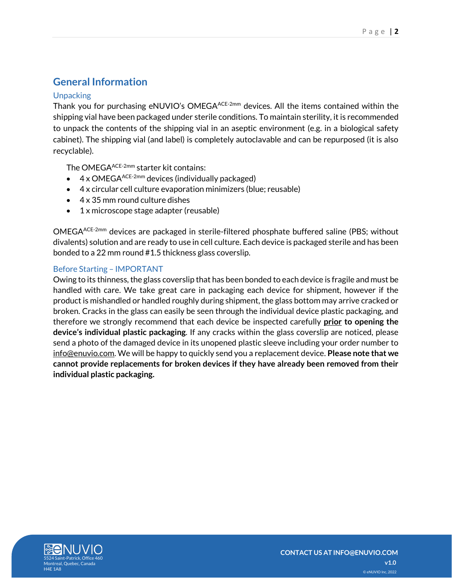## <span id="page-1-0"></span>**General Information**

### <span id="page-1-1"></span>**Unpacking**

Thank you for purchasing eNUVIO's OMEGA<sup>ACE-2mm</sup> devices. All the items contained within the shipping vial have been packaged under sterile conditions. To maintain sterility, it is recommended to unpack the contents of the shipping vial in an aseptic environment (e.g. in a biological safety cabinet). The shipping vial (and label) is completely autoclavable and can be repurposed (it is also recyclable).

The OMEGA<sup>ACE-2mm</sup> starter kit contains:

- $4 \times$  OMEGA<sup>ACE-2mm</sup> devices (individually packaged)
- 4 x circular cell culture evaporation minimizers (blue; reusable)
- 4 x 35 mm round culture dishes
- 1 x microscope stage adapter (reusable)

OMEGAACE-2mm devices are packaged in sterile-filtered phosphate buffered saline (PBS; without divalents) solution and are ready to use in cell culture. Each device is packaged sterile and has been bonded to a 22 mm round #1.5 thickness glass coverslip.

### <span id="page-1-2"></span>Before Starting – IMPORTANT

Owing to its thinness, the glass coverslip that has been bonded to each device is fragile and must be handled with care. We take great care in packaging each device for shipment, however if the product is mishandled or handled roughly during shipment, the glass bottom may arrive cracked or broken. Cracks in the glass can easily be seen through the individual device plastic packaging, and therefore we strongly recommend that each device be inspected carefully **prior to opening the device's individual plastic packaging**. If any cracks within the glass coverslip are noticed, please send a photo of the damaged device in its unopened plastic sleeve including your order number to info@enuvio.com. We will be happy to quickly send you a replacement device. **Please note that we cannot provide replacements for broken devices if they have already been removed from their individual plastic packaging.**

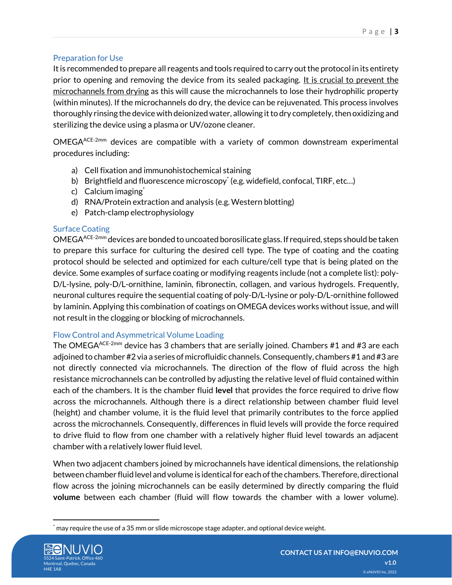## <span id="page-2-0"></span>Preparation for Use

It is recommended to prepare all reagents and tools required to carry out the protocol in its entirety prior to opening and removing the device from its sealed packaging. It is crucial to prevent the microchannels from drying as this will cause the microchannels to lose their hydrophilic property (within minutes). If the microchannels do dry, the device can be rejuvenated. This process involves thoroughly rinsing the device with deionized water, allowing it to dry completely, then oxidizing and sterilizing the device using a plasma or UV/ozone cleaner.

OMEGAACE-2mm devices are compatible with a variety of common downstream experimental procedures including:

- a) Cell fixation and immunohistochemical staining
- b) Brightfield and fluorescence microscopy\* (e.g. widefield, confocal, TIRF, etc...)
- c) Calcium imaging $\epsilon$
- d) RNA/Protein extraction and analysis (e.g. Western blotting)
- e) Patch-clamp electrophysiology

## <span id="page-2-1"></span>Surface Coating

OMEGAACE-2mm devices are bonded to uncoated borosilicate glass. If required, steps should be taken to prepare this surface for culturing the desired cell type. The type of coating and the coating protocol should be selected and optimized for each culture/cell type that is being plated on the device. Some examples of surface coating or modifying reagents include (not a complete list): poly-D/L-lysine, poly-D/L-ornithine, laminin, fibronectin, collagen, and various hydrogels. Frequently, neuronal cultures require the sequential coating of poly-D/L-lysine or poly-D/L-ornithine followed by laminin. Applying this combination of coatings on OMEGA devices works without issue, and will not result in the clogging or blocking of microchannels.

## <span id="page-2-2"></span>Flow Control and Asymmetrical Volume Loading

The OMEGA $A^{ACE-2mm}$  device has 3 chambers that are serially joined. Chambers #1 and #3 are each adjoined to chamber #2 via a series of microfluidic channels. Consequently, chambers #1 and #3 are not directly connected via microchannels. The direction of the flow of fluid across the high resistance microchannels can be controlled by adjusting the relative level of fluid contained within each of the chambers. It is the chamber fluid **level** that provides the force required to drive flow across the microchannels. Although there is a direct relationship between chamber fluid level (height) and chamber volume, it is the fluid level that primarily contributes to the force applied across the microchannels. Consequently, differences in fluid levels will provide the force required to drive fluid to flow from one chamber with a relatively higher fluid level towards an adjacent chamber with a relatively lower fluid level.

When two adjacent chambers joined by microchannels have identical dimensions, the relationship between chamber fluid level and volume is identical for each of the chambers.Therefore, directional flow across the joining microchannels can be easily determined by directly comparing the fluid **volume** between each chamber (fluid will flow towards the chamber with a lower volume).

may require the use of a 35 mm or slide microscope stage adapter, and optional device weight.

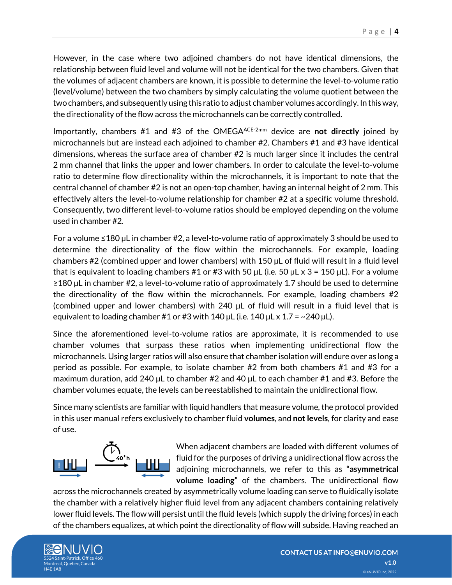However, in the case where two adjoined chambers do not have identical dimensions, the relationship between fluid level and volume will not be identical for the two chambers. Given that the volumes of adjacent chambers are known, it is possible to determine the level-to-volume ratio (level/volume) between the two chambers by simply calculating the volume quotient between the two chambers, and subsequently using this ratio to adjust chamber volumes accordingly.In this way, the directionality of the flow across the microchannels can be correctly controlled.

Importantly, chambers #1 and #3 of the OMEGAACE-2mm device are **not directly** joined by microchannels but are instead each adjoined to chamber #2. Chambers #1 and #3 have identical dimensions, whereas the surface area of chamber #2 is much larger since it includes the central 2 mm channel that links the upper and lower chambers. In order to calculate the level-to-volume ratio to determine flow directionality within the microchannels, it is important to note that the central channel of chamber #2 is not an open-top chamber, having an internal height of 2 mm. This effectively alters the level-to-volume relationship for chamber #2 at a specific volume threshold. Consequently, two different level-to-volume ratios should be employed depending on the volume used in chamber #2.

For a volume  $\leq 180$  µL in chamber #2, a level-to-volume ratio of approximately 3 should be used to determine the directionality of the flow within the microchannels. For example, loading chambers #2 (combined upper and lower chambers) with 150 µL of fluid will result in a fluid level that is equivalent to loading chambers #1 or #3 with 50  $\mu$ L (i.e. 50  $\mu$ L x 3 = 150  $\mu$ L). For a volume ≥180 µL in chamber #2, a level-to-volume ratio of approximately 1.7 should be used to determine the directionality of the flow within the microchannels. For example, loading chambers #2 (combined upper and lower chambers) with 240 µL of fluid will result in a fluid level that is equivalent to loading chamber #1 or #3 with 140  $\mu$ L (i.e. 140  $\mu$ L x 1.7 = ~240  $\mu$ L).

Since the aforementioned level-to-volume ratios are approximate, it is recommended to use chamber volumes that surpass these ratios when implementing unidirectional flow the microchannels. Using larger ratios will also ensure that chamber isolation will endure over as long a period as possible. For example, to isolate chamber #2 from both chambers #1 and #3 for a maximum duration, add 240 µL to chamber #2 and 40 µL to each chamber #1 and #3. Before the chamber volumes equate, the levels can be reestablished to maintain the unidirectional flow.

Since many scientists are familiar with liquid handlers that measure volume, the protocol provided in this user manual refers exclusively to chamber fluid **volumes**, and **not levels**, for clarity and ease of use.



When adjacent chambers are loaded with different volumes of fluid for the purposes of driving a unidirectional flow across the adjoining microchannels, we refer to this as **"asymmetrical volume loading"** of the chambers. The unidirectional flow

across the microchannels created by asymmetrically volume loading can serve to fluidically isolate the chamber with a relatively higher fluid level from any adjacent chambers containing relatively lower fluid levels. The flow will persist until the fluid levels (which supply the driving forces) in each of the chambers equalizes, at which point the directionality of flow will subside. Having reached an

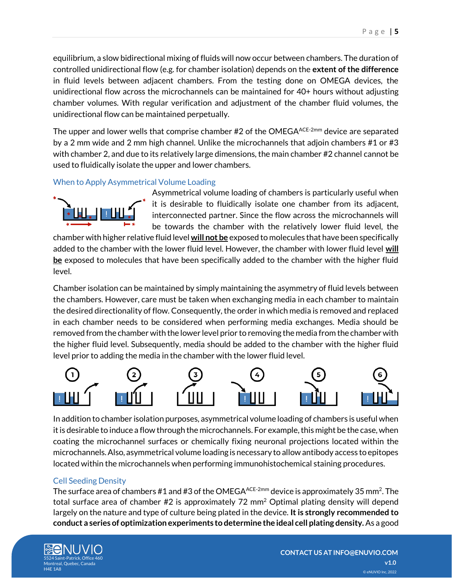equilibrium, a slow bidirectional mixing of fluids will now occur between chambers. The duration of controlled unidirectional flow (e.g. for chamber isolation) depends on the **extent of the difference** in fluid levels between adjacent chambers. From the testing done on OMEGA devices, the unidirectional flow across the microchannels can be maintained for 40+ hours without adjusting chamber volumes. With regular verification and adjustment of the chamber fluid volumes, the unidirectional flow can be maintained perpetually.

The upper and lower wells that comprise chamber #2 of the OMEGA<sup>ACE-2mm</sup> device are separated by a 2 mm wide and 2 mm high channel. Unlike the microchannels that adjoin chambers #1 or #3 with chamber 2, and due to its relatively large dimensions, the main chamber #2 channel cannot be used to fluidically isolate the upper and lower chambers.

## <span id="page-4-0"></span>When to Apply Asymmetrical Volume Loading



Asymmetrical volume loading of chambers is particularly useful when it is desirable to fluidically isolate one chamber from its adjacent, interconnected partner. Since the flow across the microchannels will be towards the chamber with the relatively lower fluid level, the

chamber with higher relative fluid level **will not be** exposed to molecules that have been specifically added to the chamber with the lower fluid level. However, the chamber with lower fluid level **will be** exposed to molecules that have been specifically added to the chamber with the higher fluid level.

Chamber isolation can be maintained by simply maintaining the asymmetry of fluid levels between the chambers. However, care must be taken when exchanging media in each chamber to maintain the desired directionality of flow. Consequently, the order in which media is removed and replaced in each chamber needs to be considered when performing media exchanges. Media should be removed from the chamber with the lower level prior to removing the media from the chamber with the higher fluid level. Subsequently, media should be added to the chamber with the higher fluid level prior to adding the media in the chamber with the lower fluid level.



In addition to chamber isolation purposes, asymmetrical volume loading of chambers is useful when it is desirable to induce a flow through the microchannels. For example, this might be the case, when coating the microchannel surfaces or chemically fixing neuronal projections located within the microchannels. Also, asymmetrical volume loading is necessary to allow antibody access to epitopes located within the microchannels when performing immunohistochemical staining procedures.

## <span id="page-4-1"></span>Cell Seeding Density

The surface area of chambers #1 and #3 of the OMEGA<sup>ACE-2mm</sup> device is approximately 35 mm<sup>2</sup>. The total surface area of chamber #2 is approximately 72 mm<sup>2</sup> Optimal plating density will depend largely on the nature and type of culture being plated in the device. **It is strongly recommended to conduct a series of optimization experiments to determine the ideal cell plating density.** As a good

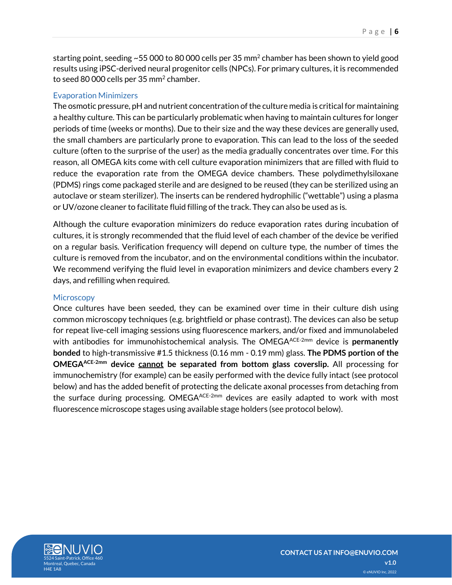starting point, seeding ~55 000 to 80 000 cells per 35 mm $^2$  chamber has been shown to yield good results using iPSC-derived neural progenitor cells (NPCs). For primary cultures, it is recommended to seed 80 000 cells per 35 mm $^{\rm 2}$  chamber.

### <span id="page-5-0"></span>Evaporation Minimizers

The osmotic pressure, pH and nutrient concentration of the culture media is critical for maintaining a healthy culture. This can be particularly problematic when having to maintain cultures for longer periods of time (weeks or months). Due to their size and the way these devices are generally used, the small chambers are particularly prone to evaporation. This can lead to the loss of the seeded culture (often to the surprise of the user) as the media gradually concentrates over time. For this reason, all OMEGA kits come with cell culture evaporation minimizers that are filled with fluid to reduce the evaporation rate from the OMEGA device chambers. These polydimethylsiloxane (PDMS) rings come packaged sterile and are designed to be reused (they can be sterilized using an autoclave or steam sterilizer). The inserts can be rendered hydrophilic ("wettable") using a plasma or UV/ozone cleaner to facilitate fluid filling of the track. They can also be used as is.

Although the culture evaporation minimizers do reduce evaporation rates during incubation of cultures, it is strongly recommended that the fluid level of each chamber of the device be verified on a regular basis. Verification frequency will depend on culture type, the number of times the culture is removed from the incubator, and on the environmental conditions within the incubator. We recommend verifying the fluid level in evaporation minimizers and device chambers every 2 days, and refilling when required.

#### <span id="page-5-1"></span>**Microscopy**

Once cultures have been seeded, they can be examined over time in their culture dish using common microscopy techniques (e.g. brightfield or phase contrast). The devices can also be setup for repeat live-cell imaging sessions using fluorescence markers, and/or fixed and immunolabeled with antibodies for immunohistochemical analysis. The OMEGA<sup>ACE-2mm</sup> device is **permanently bonded** to high-transmissive #1.5 thickness (0.16 mm - 0.19 mm) glass. **The PDMS portion of the OMEGAACE-2mm device cannot be separated from bottom glass coverslip.** All processing for immunochemistry (for example) can be easily performed with the device fully intact (see protocol below) and has the added benefit of protecting the delicate axonal processes from detaching from the surface during processing. OMEGA $A$ CE-2mm devices are easily adapted to work with most fluorescence microscope stages using available stage holders (see protocol below).

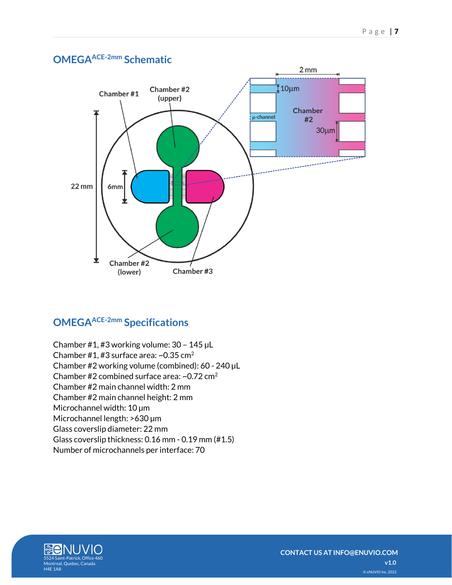<span id="page-6-0"></span>

# <span id="page-6-1"></span>**OMEGAACE-2mm Specifications**

Chamber #1, #3 working volume: 30 – 145 µL Chamber #1, #3 surface area:  $\sim$ 0.35 cm<sup>2</sup> Chamber #2 working volume (combined): 60 - 240 µL Chamber #2 combined surface area:  $\sim$ 0.72 cm<sup>2</sup> Chamber #2 main channel width: 2 mm Chamber #2 main channel height: 2 mm Microchannel width: 10 µm Microchannel length: >630 µm Glass coverslip diameter: 22 mm Glass coverslip thickness: 0.16 mm - 0.19 mm (#1.5) Number of microchannels per interface: 70

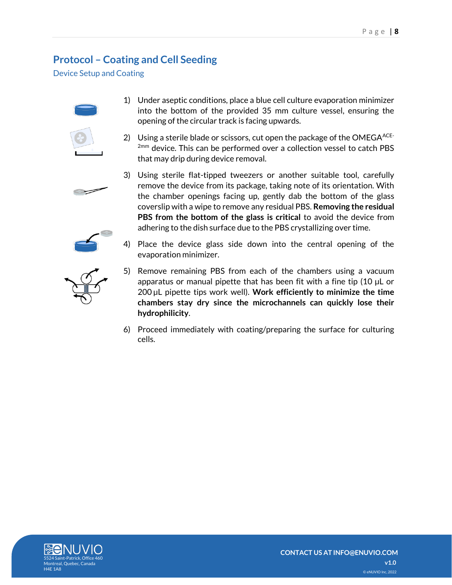# <span id="page-7-0"></span>**Protocol – Coating and Cell Seeding**

<span id="page-7-1"></span>Device Setup and Coating



- 1) Under aseptic conditions, place a blue cell culture evaporation minimizer into the bottom of the provided 35 mm culture vessel, ensuring the opening of the circular track is facing upwards.
- 2) Using a sterile blade or scissors, cut open the package of the OMEGA $ACE$ -2mm device. This can be performed over a collection vessel to catch PBS that may drip during device removal.









- 4) Place the device glass side down into the central opening of the evaporation minimizer.
- 5) Remove remaining PBS from each of the chambers using a vacuum apparatus or manual pipette that has been fit with a fine tip (10 µL or 200 µL pipette tips work well). **Work efficiently to minimize the time chambers stay dry since the microchannels can quickly lose their hydrophilicity**.
- 6) Proceed immediately with coating/preparing the surface for culturing cells.

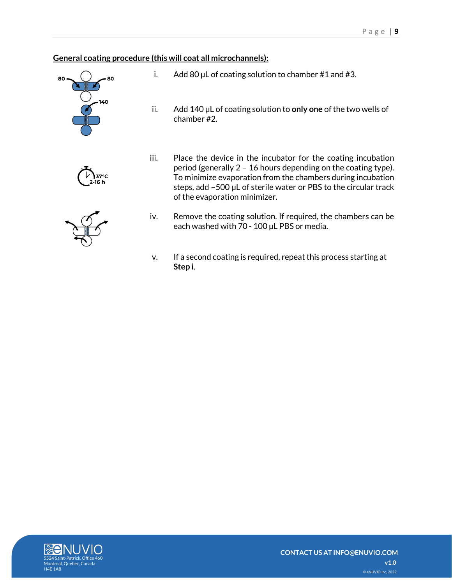## <span id="page-8-0"></span>**General coating procedure (this will coat all microchannels):**



2-16 h



- i. Add 80  $\mu$ L of coating solution to chamber #1 and #3.
- ii. Add 140 µL of coating solution to **only one** of the two wells of chamber #2.
- iii. Place the device in the incubator for the coating incubation period (generally 2 – 16 hours depending on the coating type). To minimize evaporation from the chambers during incubation steps, add ~500 µL of sterile water or PBS to the circular track of the evaporation minimizer.
- iv. Remove the coating solution. If required, the chambers can be each washed with 70 - 100 µL PBS or media.
- v. If a second coating is required, repeat this process starting at **Step i**.

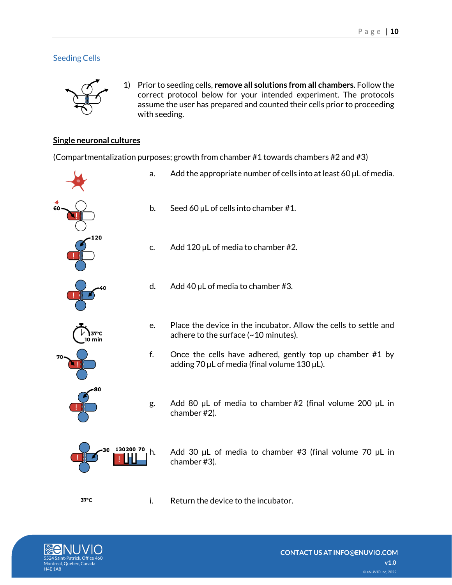## <span id="page-9-0"></span>Seeding Cells



1) Prior to seeding cells, **remove all solutions from all chambers**. Follow the correct protocol below for your intended experiment. The protocols assume the user has prepared and counted their cells prior to proceeding with seeding.

### <span id="page-9-1"></span>**Single neuronal cultures**

(Compartmentalization purposes; growth from chamber #1 towards chambers #2 and #3)



- a. Add the appropriate number of cells into at least 60  $\mu$ L of media.
- b. Seed 60 µL of cells into chamber #1.
- c.  $\Delta$  Add 120 µL of media to chamber #2.
- d. Add 40  $\mu$ L of media to chamber #3.
- e. Place the device in the incubator. Allow the cells to settle and adhere to the surface (~10 minutes).
- f. Once the cells have adhered, gently top up chamber #1 by adding 70  $\mu$ L of media (final volume 130  $\mu$ L).
- g. Add 80 µL of media to chamber #2 (final volume 200 µL in chamber #2).

h. Add 30  $\mu$ L of media to chamber #3 (final volume 70  $\mu$ L in chamber #3).

i. Return the device to the incubator.

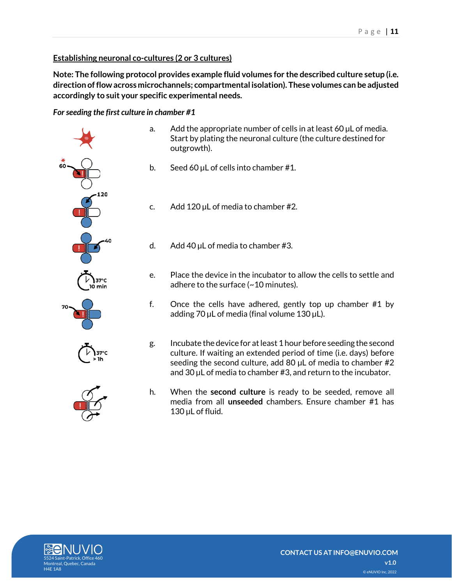## <span id="page-10-0"></span>**Establishing neuronal co-cultures (2 or 3 cultures)**

**Note: The following protocol provides example fluid volumes for the described culture setup (i.e. direction of flow across microchannels; compartmental isolation). These volumes can be adjusted accordingly to suit your specific experimental needs.**

<span id="page-10-1"></span>*For seeding the first culture in chamber #1*

- 37°C
- a. Add the appropriate number of cells in at least 60 µL of media. Start by plating the neuronal culture (the culture destined for outgrowth).
- b. Seed 60 µL of cells into chamber #1.
- c. Add 120 µL of media to chamber #2.
- d. Add 40  $\mu$ L of media to chamber #3.
- e. Place the device in the incubator to allow the cells to settle and adhere to the surface (~10 minutes).
- f. Once the cells have adhered, gently top up chamber #1 by adding 70 µL of media (final volume 130 µL).
- g. Incubate the device for at least 1 hour before seeding the second culture. If waiting an extended period of time (i.e. days) before seeding the second culture, add 80 µL of media to chamber #2 and 30 µL of media to chamber #3, and return to the incubator.
- h. When the **second culture** is ready to be seeded, remove all media from all **unseeded** chambers. Ensure chamber #1 has 130 µL of fluid.

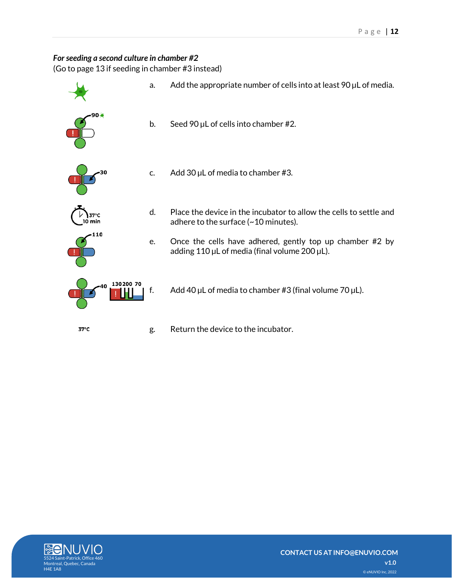#### <span id="page-11-0"></span>For seeding a second culture in chamber #2

(Go to page 13 if seeding in chamber #3 instead)



```
37^{\circ}C
```
g. Return the device to the incubator.

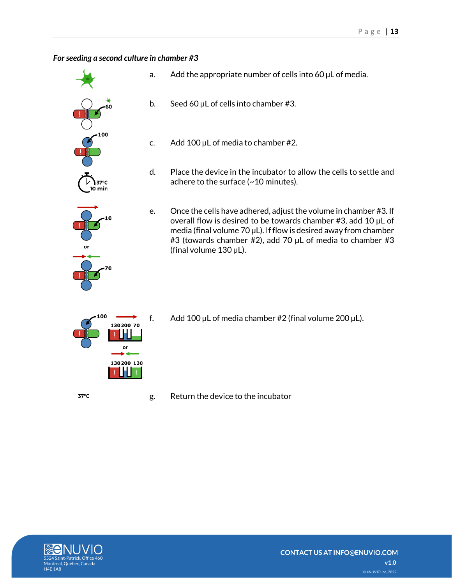#### <span id="page-12-0"></span>*For seeding a second culture in chamber #3*

- $37^{\circ}$ C 0 min
- a. Add the appropriate number of cells into  $60 \mu$ L of media.
- b. Seed 60  $\mu$ L of cells into chamber #3.
	- c. Add 100  $\mu$ L of media to chamber #2.
	- d. Place the device in the incubator to allow the cells to settle and adhere to the surface (~10 minutes).
- e. Once the cells have adhered, adjust the volume in chamber #3. If overall flow is desired to be towards chamber #3, add 10 µL of media (final volume 70  $\mu$ L). If flow is desired away from chamber #3 (towards chamber #2), add 70 µL of media to chamber #3 (final volume 130 µL).
- 130200 70 or 130200 130

 $37^{\circ}$ C

f. Add 100  $\mu$ L of media chamber #2 (final volume 200  $\mu$ L).

g. Return the device to the incubator

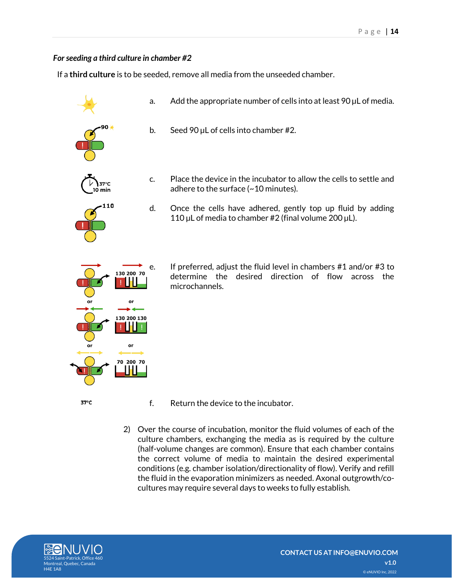#### <span id="page-13-0"></span>*For seeding a third culture in chamber #2*

If a **third culture** is to be seeded, remove all media from the unseeded chamber.

- a. Add the appropriate number of cells into at least  $90 \mu L$  of media.
- 
- b. Seed 90  $\mu$ L of cells into chamber #2.
- $\overline{0}$  min



adhere to the surface (~10 minutes). d. Once the cells have adhered, gently top up fluid by adding

110  $\mu$ L of media to chamber #2 (final volume 200  $\mu$ L).

c. Place the device in the incubator to allow the cells to settle and

- 130 200 70 or 130 200 130 or 70 200 70 37°C
- 
- e. If preferred, adjust the fluid level in chambers #1 and/or #3 to determine the desired direction of flow across the microchannels.
- f. Return the device to the incubator.
- 2) Over the course of incubation, monitor the fluid volumes of each of the culture chambers, exchanging the media as is required by the culture (half-volume changes are common). Ensure that each chamber contains the correct volume of media to maintain the desired experimental conditions (e.g. chamber isolation/directionality of flow). Verify and refill the fluid in the evaporation minimizers as needed. Axonal outgrowth/cocultures may require several days to weeks to fully establish.

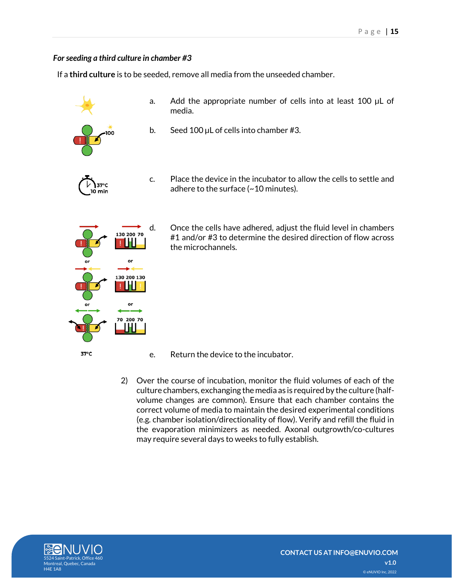#### <span id="page-14-0"></span>*For seeding a third culture in chamber #3*

If a **third culture** is to be seeded, remove all media from the unseeded chamber.



130 200 130 ш

70 200 70

37°C

- a. Add the appropriate number of cells into at least 100 µL of media.
- b. Seed 100 µL of cells into chamber #3.
- c. Place the device in the incubator to allow the cells to settle and adhere to the surface (~10 minutes).
- d. Once the cells have adhered, adjust the fluid level in chambers #1 and/or #3 to determine the desired direction of flow across a ma the microchannels. or

- e. Return the device to the incubator.
- 2) Over the course of incubation, monitor the fluid volumes of each of the culture chambers, exchanging the media as is required by the culture (halfvolume changes are common). Ensure that each chamber contains the correct volume of media to maintain the desired experimental conditions (e.g. chamber isolation/directionality of flow). Verify and refill the fluid in the evaporation minimizers as needed. Axonal outgrowth/co-cultures may require several days to weeks to fully establish.

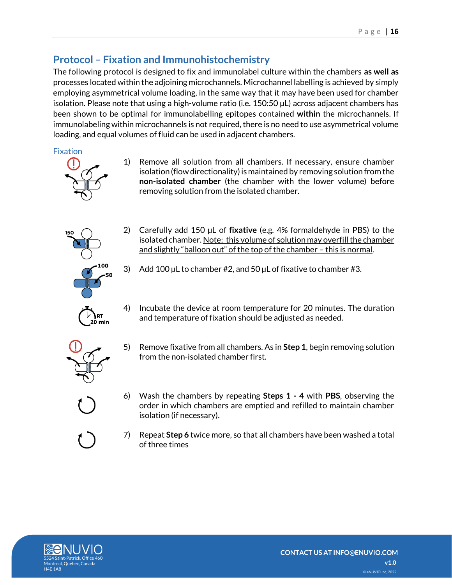# <span id="page-15-0"></span>**Protocol – Fixation and Immunohistochemistry**

The following protocol is designed to fix and immunolabel culture within the chambers **as well as** processes located within the adjoining microchannels. Microchannel labelling is achieved by simply employing asymmetrical volume loading, in the same way that it may have been used for chamber isolation. Please note that using a high-volume ratio (i.e. 150:50 µL) across adjacent chambers has been shown to be optimal for immunolabelling epitopes contained **within** the microchannels. If immunolabeling within microchannels is not required, there is no need to use asymmetrical volume loading, and equal volumes of fluid can be used in adjacent chambers.

### <span id="page-15-1"></span>Fixation



- 1) Remove all solution from all chambers. If necessary, ensure chamber isolation (flow directionality) is maintained by removing solution from the **non-isolated chamber** (the chamber with the lower volume) before removing solution from the isolated chamber.
- 

**RT** 

- 2) Carefully add 150 µL of **fixative** (e.g. 4% formaldehyde in PBS) to the isolated chamber. Note: this volume of solution may overfill the chamber and slightly "balloon out" of the top of the chamber - this is normal.
- 3) Add 100  $\mu$ L to chamber #2, and 50  $\mu$ L of fixative to chamber #3.
- 4) Incubate the device at room temperature for 20 minutes. The duration and temperature of fixation should be adjusted as needed.
- 5) Remove fixative from all chambers. As in **Step 1**, begin removing solution from the non-isolated chamber first.
- 6) Wash the chambers by repeating **Steps 1 - 4** with **PBS**, observing the order in which chambers are emptied and refilled to maintain chamber isolation (if necessary).
- 7) Repeat **Step 6** twice more, so that all chambers have been washed a total of three times

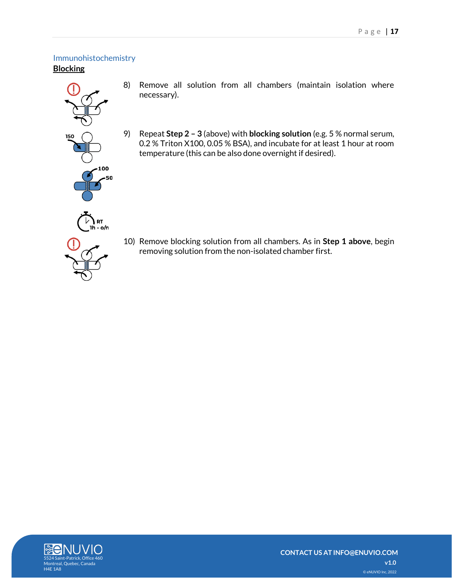## <span id="page-16-1"></span><span id="page-16-0"></span>Immunohistochemistry **Blocking**



- 8) Remove all solution from all chambers (maintain isolation where necessary).
- 9) Repeat **Step 2 – 3** (above) with **blocking solution** (e.g. 5 % normal serum, 0.2 % Triton X100, 0.05 % BSA), and incubate for at least 1 hour at room temperature (this can be also done overnight if desired).

10) Remove blocking solution from all chambers. As in **Step 1 above**, begin removing solution from the non-isolated chamber first.

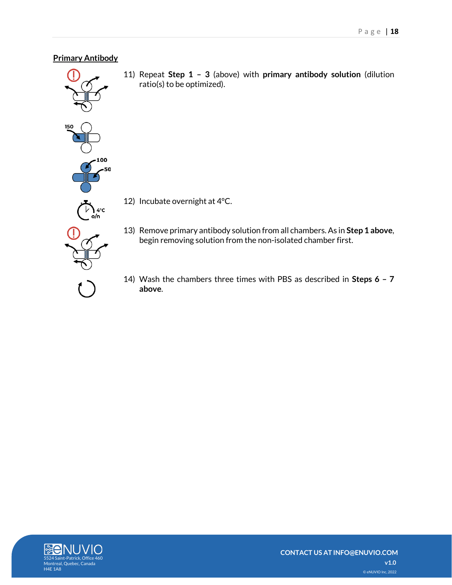#### <span id="page-17-0"></span>**Primary Antibody**



11) Repeat **Step 1 – 3** (above) with **primary antibody solution** (dilution ratio(s) to be optimized).

- 12) Incubate overnight at 4°C.
- 13) Remove primary antibody solution from all chambers. As in **Step 1 above**, begin removing solution from the non-isolated chamber first.
- 14) Wash the chambers three times with PBS as described in **Steps 6 – 7 above**.

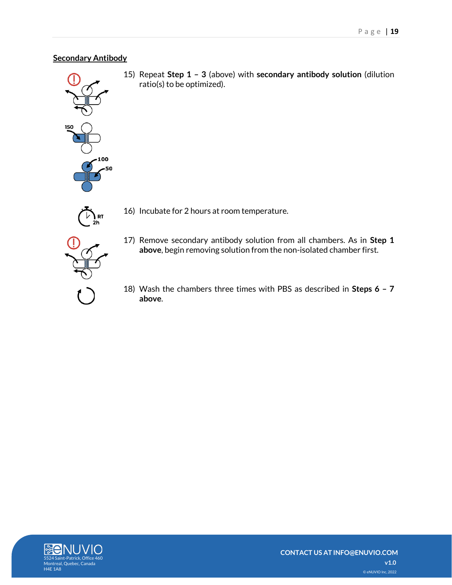#### <span id="page-18-0"></span>**Secondary Antibody**



15) Repeat **Step 1 – 3** (above) with **secondary antibody solution** (dilution ratio(s) to be optimized).



- 16) Incubate for 2 hours at room temperature.
- 17) Remove secondary antibody solution from all chambers. As in **Step 1 above**, begin removing solution from the non-isolated chamber first.
- 18) Wash the chambers three times with PBS as described in **Steps 6 – 7 above**.

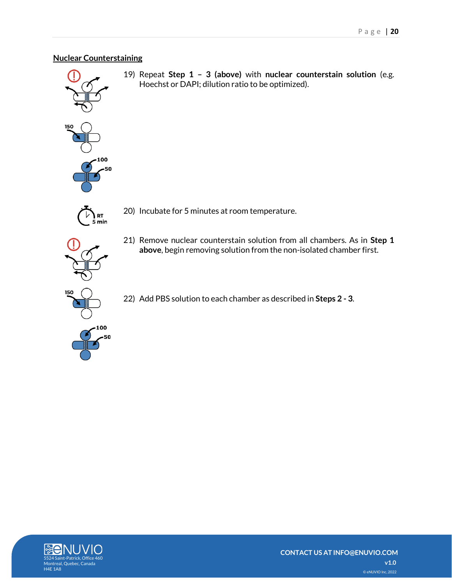### <span id="page-19-0"></span>**Nuclear Counterstaining**



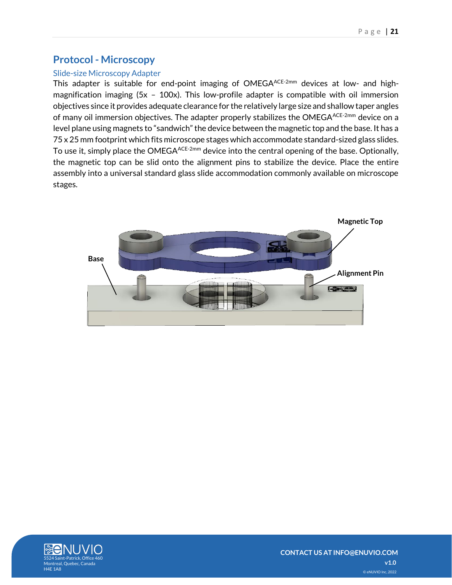## <span id="page-20-0"></span>**Protocol - Microscopy**

## <span id="page-20-1"></span>Slide-size Microscopy Adapter

This adapter is suitable for end-point imaging of OMEGAACE-2mm devices at low- and highmagnification imaging (5x - 100x). This low-profile adapter is compatible with oil immersion objectives since it provides adequate clearance for the relatively large size and shallow taper angles of many oil immersion objectives. The adapter properly stabilizes the OMEGA<sup>ACE-2mm</sup> device on a level plane using magnets to "sandwich" the device between the magnetic top and the base. It has a 75 x 25 mm footprint which fits microscope stages which accommodate standard-sized glass slides. To use it, simply place the OMEGAACE-2mm device into the central opening of the base. Optionally, the magnetic top can be slid onto the alignment pins to stabilize the device. Place the entire assembly into a universal standard glass slide accommodation commonly available on microscope stages.